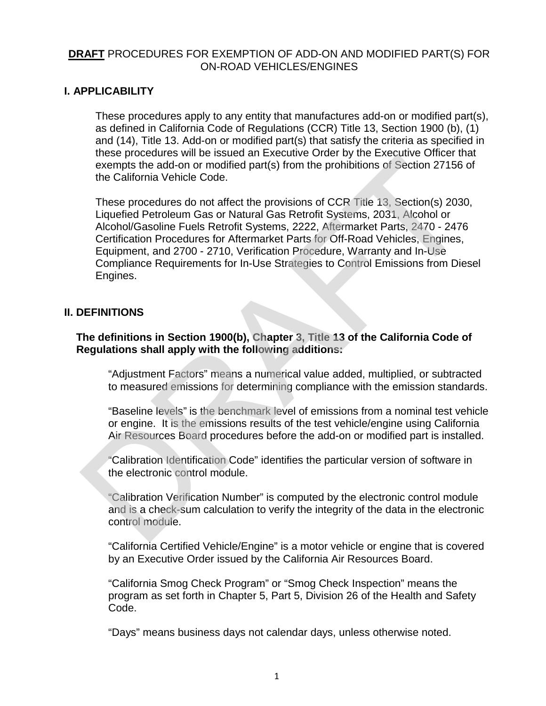## **DRAFT** PROCEDURES FOR EXEMPTION OF ADD-ON AND MODIFIED PART(S) FOR ON-ROAD VEHICLES/ENGINES

## **I. APPLICABILITY**

These procedures apply to any entity that manufactures add-on or modified part(s), as defined in California Code of Regulations (CCR) Title 13, Section 1900 (b), (1) and (14), Title 13. Add-on or modified part(s) that satisfy the criteria as specified in these procedures will be issued an Executive Order by the Executive Officer that exempts the add-on or modified part(s) from the prohibitions of Section 27156 of the California Vehicle Code.

These procedures do not affect the provisions of CCR Title 13, Section(s) 2030, Liquefied Petroleum Gas or Natural Gas Retrofit Systems, 2031, Alcohol or Alcohol/Gasoline Fuels Retrofit Systems, 2222, Aftermarket Parts, 2470 - 2476 Certification Procedures for Aftermarket Parts for Off-Road Vehicles, Engines, Equipment, and 2700 - 2710, Verification Procedure, Warranty and In-Use Compliance Requirements for In-Use Strategies to Control Emissions from Diesel Engines. example the dad-on or modified part(s) from the prohibitions of Section 27156 is<br>exempts the add-on or modified part(s) from the prohibitions of Section 27156 is<br>the California Vehicle Code.<br>These procedures do not affect

# **II. DEFINITIONS**

## **The definitions in Section 1900(b), Chapter 3, Title 13 of the California Code of Regulations shall apply with the following additions:**

"Adjustment Factors" means a numerical value added, multiplied, or subtracted to measured emissions for determining compliance with the emission standards.

"Baseline levels" is the benchmark level of emissions from a nominal test vehicle or engine. It is the emissions results of the test vehicle/engine using California Air Resources Board procedures before the add-on or modified part is installed.

"Calibration Identification Code" identifies the particular version of software in the electronic control module.

"Calibration Verification Number" is computed by the electronic control module and is a check-sum calculation to verify the integrity of the data in the electronic control module.

"California Certified Vehicle/Engine" is a motor vehicle or engine that is covered by an Executive Order issued by the California Air Resources Board.

"California Smog Check Program" or "Smog Check Inspection" means the program as set forth in Chapter 5, Part 5, Division 26 of the Health and Safety Code.

"Days" means business days not calendar days, unless otherwise noted.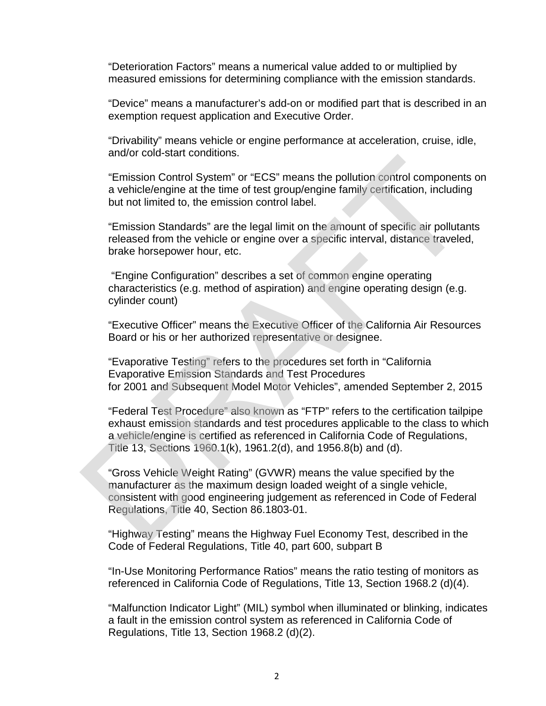"Deterioration Factors" means a numerical value added to or multiplied by measured emissions for determining compliance with the emission standards.

"Device" means a manufacturer's add-on or modified part that is described in an exemption request application and Executive Order.

"Drivability" means vehicle or engine performance at acceleration, cruise, idle, and/or cold-start conditions.

"Emission Control System" or "ECS" means the pollution control components on a vehicle/engine at the time of test group/engine family certification, including but not limited to, the emission control label.

"Emission Standards" are the legal limit on the amount of specific air pollutants released from the vehicle or engine over a specific interval, distance traveled, brake horsepower hour, etc.

"Engine Configuration" describes a set of common engine operating characteristics (e.g. method of aspiration) and engine operating design (e.g. cylinder count)

"Executive Officer" means the Executive Officer of the California Air Resources Board or his or her authorized representative or designee.

"Evaporative Testing" refers to the procedures set forth in "California Evaporative Emission Standards and Test Procedures for 2001 and Subsequent Model Motor Vehicles", amended September 2, 2015

"Federal Test Procedure" also known as "FTP" refers to the certification tailpipe exhaust emission standards and test procedures applicable to the class to which a vehicle/engine is certified as referenced in California Code of Regulations, Title 13, Sections 1960.1(k), 1961.2(d), and 1956.8(b) and (d).

"Gross Vehicle Weight Rating" (GVWR) means the value specified by the manufacturer as the maximum design loaded weight of a single vehicle, consistent with good engineering judgement as referenced in Code of Federal Regulations, Title 40, Section 86.1803-01. "Emission Control System" or "ECS" means the pollution control component<br>
"Emission Control System" or "ECS" means the pollution control component<br>
a vehicle/engine at the time of test group/engine family certification, in

"Highway Testing" means the Highway Fuel Economy Test, described in the Code of Federal Regulations, Title 40, part 600, subpart B

"In-Use Monitoring Performance Ratios" means the ratio testing of monitors as referenced in California Code of Regulations, Title 13, Section 1968.2 (d)(4).

"Malfunction Indicator Light" (MIL) [symbol](https://dashboardsymbols.com/text-symbols/) when illuminated or blinking, indicates a fault in the emission control system as referenced in California Code of Regulations, Title 13, Section 1968.2 (d)(2).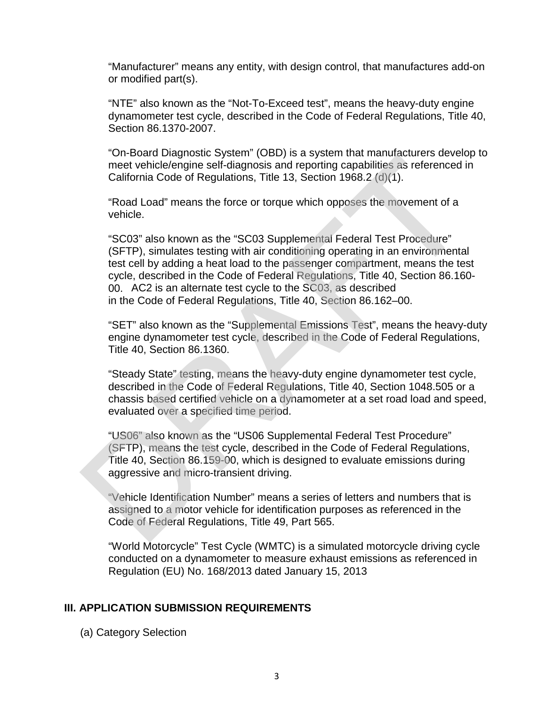"Manufacturer" means any entity, with design control, that manufactures add-on or modified part(s).

"NTE" also known as the "Not-To-Exceed test", means the heavy-duty engine dynamometer test cycle, described in the Code of Federal Regulations, Title 40, Section 86.1370-2007.

"On-Board Diagnostic System" (OBD) is a system that manufacturers develop to meet vehicle/engine self-diagnosis and reporting capabilities as referenced in California Code of Regulations, Title 13, Section 1968.2 (d)(1).

"Road Load" means the force or torque which opposes the movement of a vehicle.

"SC03" also known as the "SC03 Supplemental Federal Test Procedure" (SFTP), simulates testing with air conditioning operating in an environmental test cell by adding a heat load to the passenger compartment, means the test cycle, described in the Code of Federal Regulations, Title 40, Section 86.160- 00. AC2 is an alternate test cycle to the SC03, as described in the Code of Federal Regulations, Title 40, Section 86.162–00. orizonal Diagnosico system (ODD) is a system internation and mentioned considered California Code of Regulations, Title 13, Section 1968.2 (d)(1).<br>
"Road Load" means the force or torque which opposes the movement of a<br>
veh

"SET" also known as the "Supplemental Emissions Test", means the heavy-duty engine dynamometer test cycle, described in the Code of Federal Regulations, Title 40, Section 86.1360.

"Steady State" testing, means the heavy-duty engine dynamometer test cycle, described in the Code of Federal Regulations, Title 40, Section 1048.505 or a chassis based certified vehicle on a dynamometer at a set road load and speed, evaluated over a specified time period.

"US06" also known as the "US06 Supplemental Federal Test Procedure" (SFTP), means the test cycle, described in the Code of Federal Regulations, Title 40, Section 86.159-00, which is designed to evaluate emissions during aggressive and micro-transient driving.

"Vehicle Identification Number" means a series of letters and numbers that is assigned to a motor vehicle for identification purposes as referenced in the Code of Federal Regulations, Title 49, Part 565.

"World Motorcycle" Test Cycle (WMTC) is a simulated motorcycle driving cycle conducted on a dynamometer to measure exhaust emissions as referenced in Regulation (EU) No. 168/2013 dated January 15, 2013

### **III. APPLICATION SUBMISSION REQUIREMENTS**

(a) Category Selection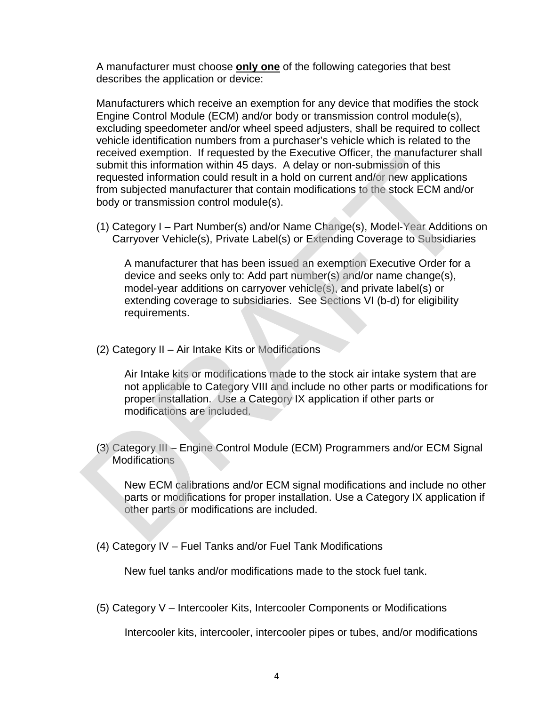A manufacturer must choose **only one** of the following categories that best describes the application or device:

Manufacturers which receive an exemption for any device that modifies the stock Engine Control Module (ECM) and/or body or transmission control module(s), excluding speedometer and/or wheel speed adjusters, shall be required to collect vehicle identification numbers from a purchaser's vehicle which is related to the received exemption. If requested by the Executive Officer, the manufacturer shall submit this information within 45 days. A delay or non-submission of this requested information could result in a hold on current and/or new applications from subjected manufacturer that contain modifications to the stock ECM and/or body or transmission control module(s).

(1) Category I – Part Number(s) and/or Name Change(s), Model-Year Additions on Carryover Vehicle(s), Private Label(s) or Extending Coverage to Subsidiaries

A manufacturer that has been issued an exemption Executive Order for a device and seeks only to: Add part number(s) and/or name change(s), model-year additions on carryover vehicle(s), and private label(s) or extending coverage to subsidiaries. See Sections VI (b-d) for eligibility requirements. Notion to the matrice of the stock of the matrice of the particle of the particle information within 45 days. A delay or non-submission of this requested information could result in a hold on current and/or new application

(2) Category II – Air Intake Kits or Modifications

Air Intake kits or modifications made to the stock air intake system that are not applicable to Category VIII and include no other parts or modifications for proper installation. Use a Category IX application if other parts or modifications are included.

(3) Category III – Engine Control Module (ECM) Programmers and/or ECM Signal **Modifications** 

New ECM calibrations and/or ECM signal modifications and include no other parts or modifications for proper installation. Use a Category IX application if other parts or modifications are included.

(4) Category IV – Fuel Tanks and/or Fuel Tank Modifications

New fuel tanks and/or modifications made to the stock fuel tank.

(5) Category V – Intercooler Kits, Intercooler Components or Modifications

Intercooler kits, intercooler, intercooler pipes or tubes, and/or modifications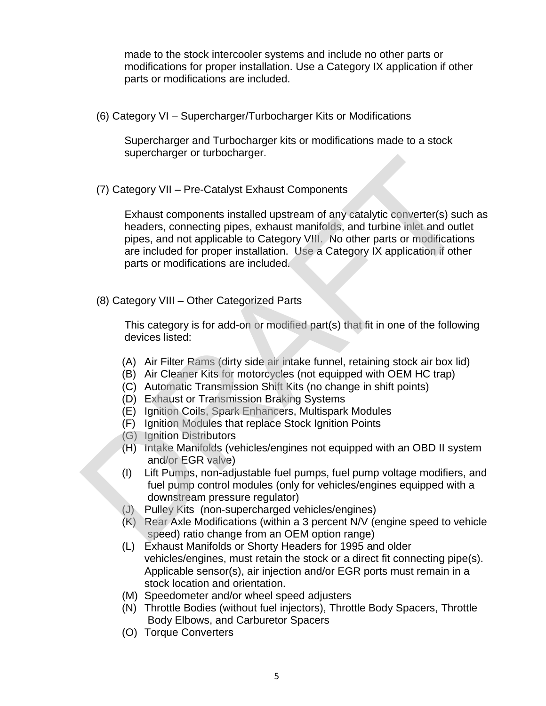made to the stock intercooler systems and include no other parts or modifications for proper installation. Use a Category IX application if other parts or modifications are included.

(6) Category VI – Supercharger/Turbocharger Kits or Modifications

Supercharger and Turbocharger kits or modifications made to a stock supercharger or turbocharger.

(7) Category VII – Pre-Catalyst Exhaust Components

Exhaust components installed upstream of any catalytic converter(s) such as headers, connecting pipes, exhaust manifolds, and turbine inlet and outlet pipes, and not applicable to Category VIII. No other parts or modifications are included for proper installation. Use a Category IX application if other parts or modifications are included. (7) Category VII – Pre-Catalyst Exhaust Components<br>
Exhaust components installed upstream of any catalytic converter(s) suce<br>
neaders, connecting pipes, exhaust manifolds, and turbine inlet and out<br>
pipes, exhaust manifold

(8) Category VIII – Other Categorized Parts

This category is for add-on or modified part(s) that fit in one of the following devices listed:

- (A) Air Filter Rams (dirty side air intake funnel, retaining stock air box lid)
- (B) Air Cleaner Kits for motorcycles (not equipped with OEM HC trap)
- (C) Automatic Transmission Shift Kits (no change in shift points)
- (D) Exhaust or Transmission Braking Systems
- (E) Ignition Coils, Spark Enhancers, Multispark Modules
- (F) Ignition Modules that replace Stock Ignition Points
- (G) Ignition Distributors
- (H) Intake Manifolds (vehicles/engines not equipped with an OBD II system and/or EGR valve)
- (I) Lift Pumps, non-adjustable fuel pumps, fuel pump voltage modifiers, and fuel pump control modules (only for vehicles/engines equipped with a downstream pressure regulator)
- (J) Pulley Kits (non-supercharged vehicles/engines)
- (K) Rear Axle Modifications (within a 3 percent N/V (engine speed to vehicle speed) ratio change from an OEM option range)
- (L) Exhaust Manifolds or Shorty Headers for 1995 and older vehicles/engines, must retain the stock or a direct fit connecting pipe(s). Applicable sensor(s), air injection and/or EGR ports must remain in a stock location and orientation.
- (M) Speedometer and/or wheel speed adjusters
- (N) Throttle Bodies (without fuel injectors), Throttle Body Spacers, Throttle Body Elbows, and Carburetor Spacers
- (O) Torque Converters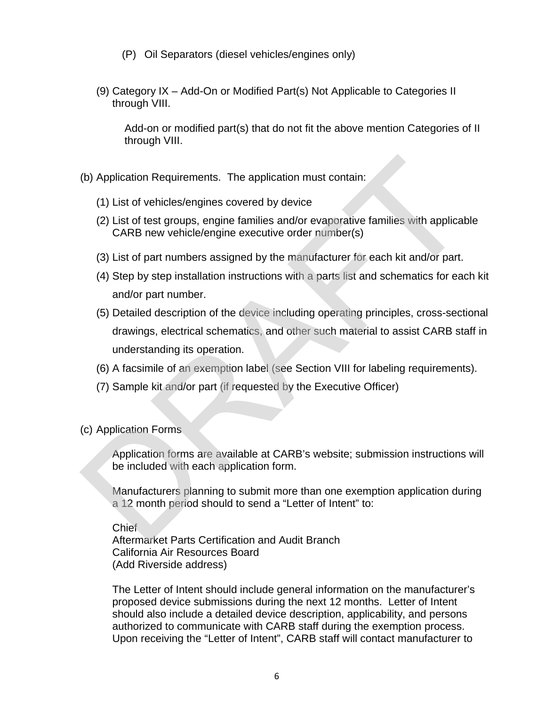- (P) Oil Separators (diesel vehicles/engines only)
- (9) Category IX Add-On or Modified Part(s) Not Applicable to Categories II through VIII.

Add-on or modified part(s) that do not fit the above mention Categories of II through VIII.

- (b) Application Requirements. The application must contain:
	- (1) List of vehicles/engines covered by device
	- (2) List of test groups, engine families and/or evaporative families with applicable CARB new vehicle/engine executive order number(s)
	- (3) List of part numbers assigned by the manufacturer for each kit and/or part.
	- (4) Step by step installation instructions with a parts list and schematics for each kit and/or part number.
- (5) Detailed description of the device including operating principles, cross-sectional drawings, electrical schematics, and other such material to assist CARB staff in understanding its operation. (b) Application Requirements. The application must contain:<br>
(c) List of vehicles/engines covered by device<br>
(2) List of test groups, engine families and/or evaporative families with applicat<br>
CARB new vehicle/engine exec
	- (6) A facsimile of an exemption label (see Section VIII for labeling requirements).
	- (7) Sample kit and/or part (if requested by the Executive Officer)
- (c) Application Forms

Application forms are available at CARB's website; submission instructions will be included with each application form.

Manufacturers planning to submit more than one exemption application during a 12 month period should to send a "Letter of Intent" to:

Chief

Aftermarket Parts Certification and Audit Branch California Air Resources Board (Add Riverside address)

The Letter of Intent should include general information on the manufacturer's proposed device submissions during the next 12 months. Letter of Intent should also include a detailed device description, applicability, and persons authorized to communicate with CARB staff during the exemption process. Upon receiving the "Letter of Intent", CARB staff will contact manufacturer to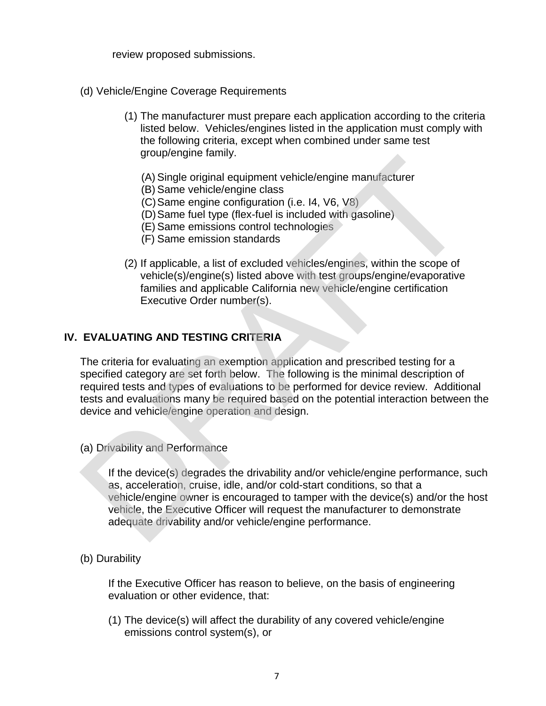review proposed submissions.

- (d) Vehicle/Engine Coverage Requirements
	- (1) The manufacturer must prepare each application according to the criteria listed below. Vehicles/engines listed in the application must comply with the following criteria, except when combined under same test group/engine family.
		- (A) Single original equipment vehicle/engine manufacturer
		- (B) Same vehicle/engine class
		- (C)Same engine configuration (i.e. I4, V6, V8)
		- (D)Same fuel type (flex-fuel is included with gasoline)
		- (E) Same emissions control technologies
		- (F) Same emission standards
	- (2) If applicable, a list of excluded vehicles/engines, within the scope of vehicle(s)/engine(s) listed above with test groups/engine/evaporative families and applicable California new vehicle/engine certification Executive Order number(s).

### **IV. EVALUATING AND TESTING CRITERIA**

The criteria for evaluating an exemption application and prescribed testing for a specified category are set forth below. The following is the minimal description of required tests and types of evaluations to be performed for device review. Additional tests and evaluations many be required based on the potential interaction between the device and vehicle/engine operation and design. (A) Single original equipment vehicle/engine manufacturer<br>
(B) Same vehicle/engine class<br>
(C) Same engine configuration (i.e. 14, V6, V8)<br>
(D) Same fuel type (flex-tuel is included with gasoline)<br>
(E) Same emissions contro

(a) Drivability and Performance

If the device(s) degrades the drivability and/or vehicle/engine performance, such as, acceleration, cruise, idle, and/or cold-start conditions, so that a vehicle/engine owner is encouraged to tamper with the device(s) and/or the host vehicle, the Executive Officer will request the manufacturer to demonstrate adequate drivability and/or vehicle/engine performance.

(b) Durability

If the Executive Officer has reason to believe, on the basis of engineering evaluation or other evidence, that:

(1) The device(s) will affect the durability of any covered vehicle/engine emissions control system(s), or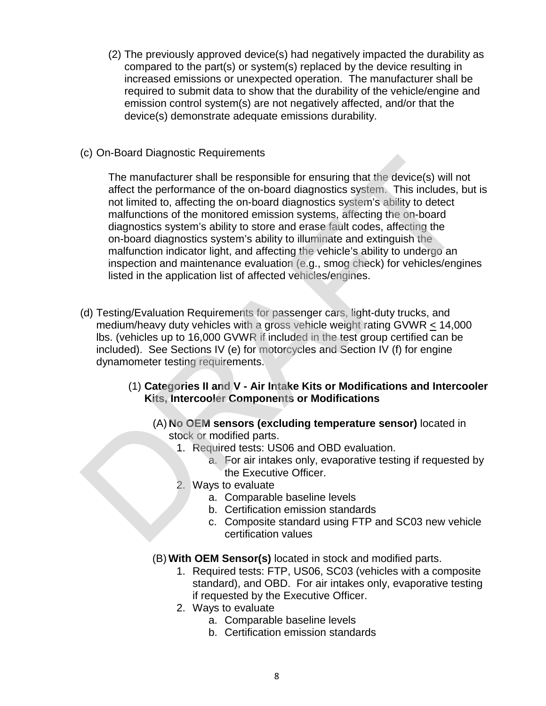- (2) The previously approved device(s) had negatively impacted the durability as compared to the part(s) or system(s) replaced by the device resulting in increased emissions or unexpected operation. The manufacturer shall be required to submit data to show that the durability of the vehicle/engine and emission control system(s) are not negatively affected, and/or that the device(s) demonstrate adequate emissions durability.
- (c) On-Board Diagnostic Requirements

The manufacturer shall be responsible for ensuring that the device(s) will not affect the performance of the on-board diagnostics system. This includes, but is not limited to, affecting the on-board diagnostics system's ability to detect malfunctions of the monitored emission systems, affecting the on-board diagnostics system's ability to store and erase fault codes, affecting the on-board diagnostics system's ability to illuminate and extinguish the malfunction indicator light, and affecting the vehicle's ability to undergo an inspection and maintenance evaluation (e.g., smog check) for vehicles/engines listed in the application list of affected vehicles/engines. The manufacturer shall be responsible for ensuring that the device(s) will not<br>affect the performance of the on-board diagnostics system. This includes, b<br>not limited to, affecting the on-board diagnostics system's ability

- (d) Testing/Evaluation Requirements for passenger cars, light-duty trucks, and medium/heavy duty vehicles with a gross vehicle weight rating GVWR < 14,000 lbs. (vehicles up to 16,000 GVWR if included in the test group certified can be included). See Sections IV (e) for motorcycles and Section IV (f) for engine dynamometer testing requirements.
	- (1) **Categories II and V Air Intake Kits or Modifications and Intercooler Kits, Intercooler Components or Modifications**
		- (A) **No OEM sensors (excluding temperature sensor)** located in stock or modified parts.
			- 1. Required tests: US06 and OBD evaluation.
				- a. For air intakes only, evaporative testing if requested by the Executive Officer.
			- 2. Ways to evaluate
				- a. Comparable baseline levels
				- b. Certification emission standards
				- c. Composite standard using FTP and SC03 new vehicle certification values
		- (B) **With OEM Sensor(s)** located in stock and modified parts.
			- 1. Required tests: FTP, US06, SC03 (vehicles with a composite standard), and OBD. For air intakes only, evaporative testing if requested by the Executive Officer.
			- 2. Ways to evaluate
				- a. Comparable baseline levels
				- b. Certification emission standards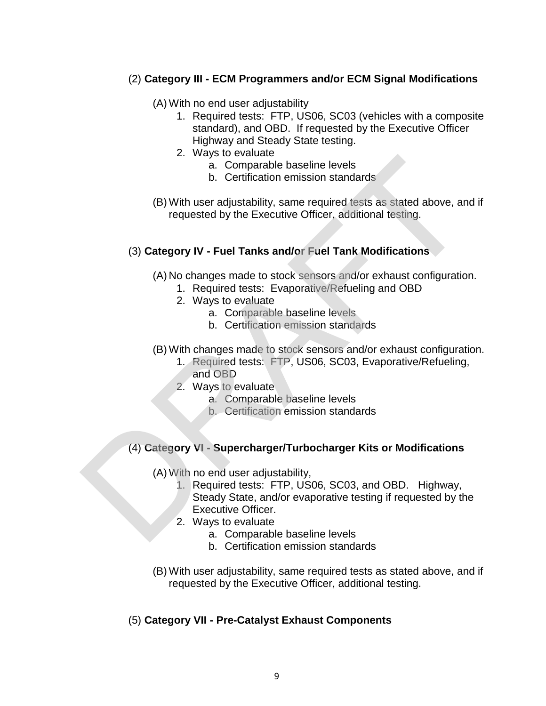# (2) **Category III - ECM Programmers and/or ECM Signal Modifications**

- (A) With no end user adjustability
	- 1. Required tests: FTP, US06, SC03 (vehicles with a composite standard), and OBD. If requested by the Executive Officer Highway and Steady State testing.
	- 2. Ways to evaluate
		- a. Comparable baseline levels
		- b. Certification emission standards
- (B) With user adjustability, same required tests as stated above, and if requested by the Executive Officer, additional testing.

#### (3) **Category IV - Fuel Tanks and/or Fuel Tank Modifications**

(A) No changes made to stock sensors and/or exhaust configuration.

- 1. Required tests: Evaporative/Refueling and OBD
- 2. Ways to evaluate
	- a. Comparable baseline levels
	- b. Certification emission standards
- (B) With changes made to stock sensors and/or exhaust configuration.
	- 1. Required tests: FTP, US06, SC03, Evaporative/Refueling, and OBD
		- 2. Ways to evaluate
			- a. Comparable baseline levels
			- b. Certification emission standards

### (4) **Category VI - Supercharger/Turbocharger Kits or Modifications**

(A) With no end user adjustability,

- 1. Required tests: FTP, US06, SC03, and OBD. Highway, Steady State, and/or evaporative testing if requested by the Executive Officer. 2. ways to evaluate<br>
a. Comparable baseline levels<br>
b. Certification emission standards<br>
(B) With user adjustability, same required tests as stated above, an<br>
requested by the Executive Officer, additional testing.<br>
(3) Ca
	- 2. Ways to evaluate
		- a. Comparable baseline levels
		- b. Certification emission standards
	- (B) With user adjustability, same required tests as stated above, and if requested by the Executive Officer, additional testing.

### (5) **Category VII - Pre-Catalyst Exhaust Components**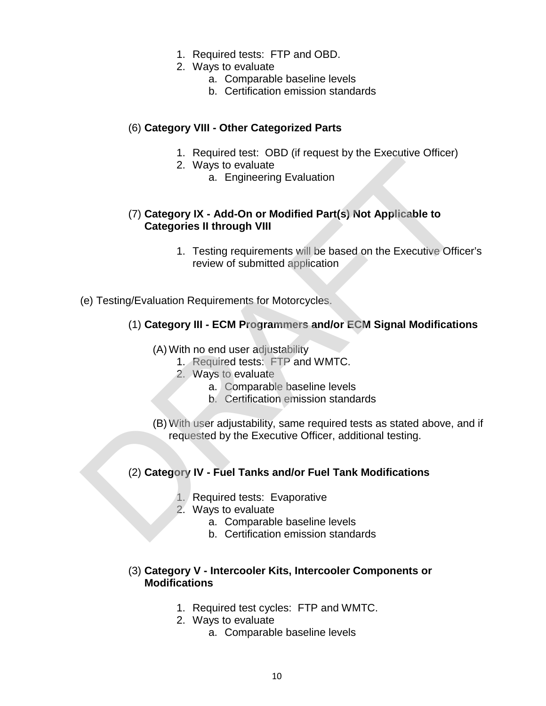- 1. Required tests: FTP and OBD.
- 2. Ways to evaluate
	- a. Comparable baseline levels
	- b. Certification emission standards

## (6) **Category VIII - Other Categorized Parts**

- 1. Required test: OBD (if request by the Executive Officer)
- 2. Ways to evaluate
	- a. Engineering Evaluation

# (7) **Category IX - Add-On or Modified Part(s) Not Applicable to Categories II through VIII** 2. Ways to evaluate<br>
2. Ways to evaluate<br>
a. Engineering Evaluation<br>
2. Ways to evaluate<br>
a. Engineering Evaluation<br>
1. Testing requirements will be based on the Executive Office<br>
review of submitted application<br>
(e) Testi

- 1. Testing requirements will be based on the Executive Officer's review of submitted application
- (e) Testing/Evaluation Requirements for Motorcycles.

# (1) **Category III - ECM Programmers and/or ECM Signal Modifications**

#### (A) With no end user adjustability

- 1. Required tests: FTP and WMTC.
- 2. Ways to evaluate
	- a. Comparable baseline levels
	- b. Certification emission standards
- (B) With user adjustability, same required tests as stated above, and if requested by the Executive Officer, additional testing.

### (2) **Category IV - Fuel Tanks and/or Fuel Tank Modifications**

- 1. Required tests: Evaporative
- 2. Ways to evaluate
	- a. Comparable baseline levels
	- b. Certification emission standards

### (3) **Category V - Intercooler Kits, Intercooler Components or Modifications**

- 1. Required test cycles: FTP and WMTC.
- 2. Ways to evaluate
	- a. Comparable baseline levels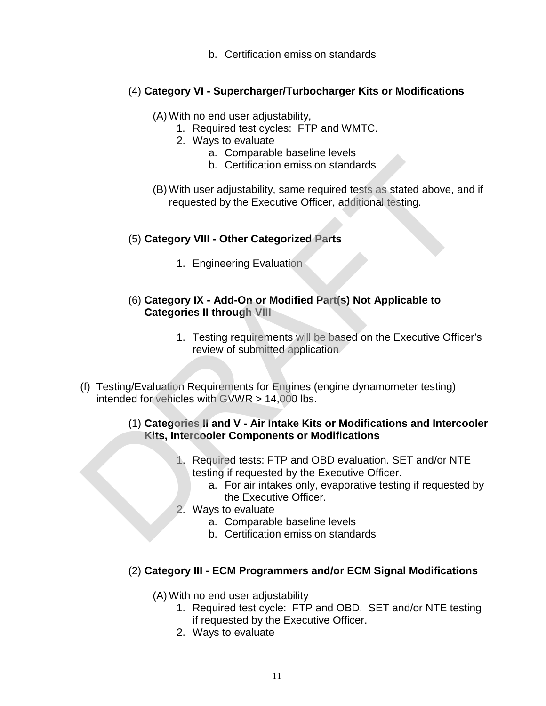b. Certification emission standards

# (4) **Category VI - Supercharger/Turbocharger Kits or Modifications**

- (A) With no end user adjustability,
	- 1. Required test cycles: FTP and WMTC.
	- 2. Ways to evaluate
		- a. Comparable baseline levels
		- b. Certification emission standards
- (B) With user adjustability, same required tests as stated above, and if requested by the Executive Officer, additional testing.

# (5) **Category VIII - Other Categorized Parts**

- 1. Engineering Evaluation
- (6) **Category IX Add-On or Modified Part(s) Not Applicable to Categories II through VIII**
	- 1. Testing requirements will be based on the Executive Officer's review of submitted application
- (f) Testing/Evaluation Requirements for Engines (engine dynamometer testing) intended for vehicles with GVWR > 14,000 lbs. 9. Certification emission standards<br>
(B) With user adjustability, same required tests as stated above, an<br>
requested by the Executive Officer, additional testing.<br>
(5) Category VIII - Other Categorized Parts<br>
1. Engineer

# (1) **Categories II and V - Air Intake Kits or Modifications and Intercooler Kits, Intercooler Components or Modifications**

- 1. Required tests: FTP and OBD evaluation. SET and/or NTE testing if requested by the Executive Officer.
	- a. For air intakes only, evaporative testing if requested by the Executive Officer.
- 2. Ways to evaluate
	- a. Comparable baseline levels
	- b. Certification emission standards

# (2) **Category III - ECM Programmers and/or ECM Signal Modifications**

(A) With no end user adjustability

- 1. Required test cycle: FTP and OBD. SET and/or NTE testing if requested by the Executive Officer.
- 2. Ways to evaluate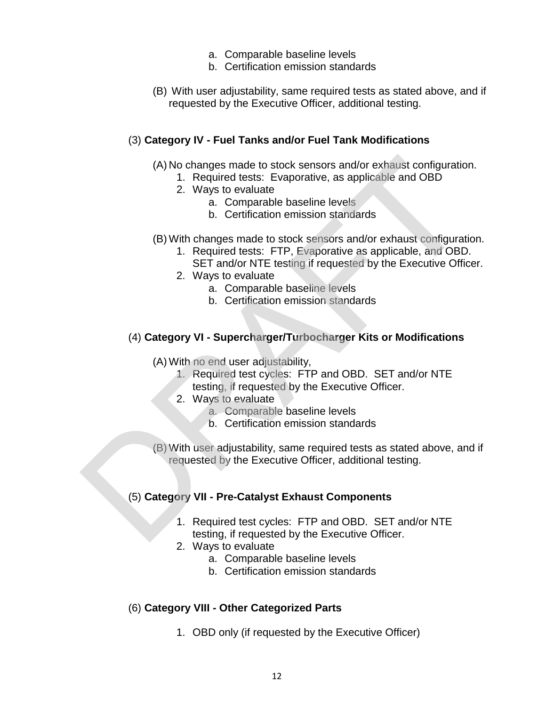- a. Comparable baseline levels
- b. Certification emission standards
- (B) With user adjustability, same required tests as stated above, and if requested by the Executive Officer, additional testing.

#### (3) **Category IV - Fuel Tanks and/or Fuel Tank Modifications**

- (A) No changes made to stock sensors and/or exhaust configuration.
	- 1. Required tests: Evaporative, as applicable and OBD
	- 2. Ways to evaluate
		- a. Comparable baseline levels
		- b. Certification emission standards
- (B) With changes made to stock sensors and/or exhaust configuration.
	- 1. Required tests: FTP, Evaporative as applicable, and OBD.
	- SET and/or NTE testing if requested by the Executive Officer.
	- 2. Ways to evaluate
		- a. Comparable baseline levels
		- b. Certification emission standards

### (4) **Category VI - Supercharger/Turbocharger Kits or Modifications**

(A) With no end user adjustability,

- 1. Required test cycles: FTP and OBD. SET and/or NTE testing, if requested by the Executive Officer.
- 2. Ways to evaluate
	- a. Comparable baseline levels
	- b. Certification emission standards
- (B) With user adjustability, same required tests as stated above, and if requested by the Executive Officer, additional testing. (A) No changes made to stock sensors and/or exhaust configuration<br>
1. Required tests: Evaporative, as applicable and OBD<br>
2. Ways to evaluate<br>
a. Comparable baseline levels<br>
b. Certification emission standards<br>
(B) With c

### (5) **Category VII - Pre-Catalyst Exhaust Components**

- 1. Required test cycles: FTP and OBD. SET and/or NTE testing, if requested by the Executive Officer.
- 2. Ways to evaluate
	- a. Comparable baseline levels
	- b. Certification emission standards

### (6) **Category VIII - Other Categorized Parts**

1. OBD only (if requested by the Executive Officer)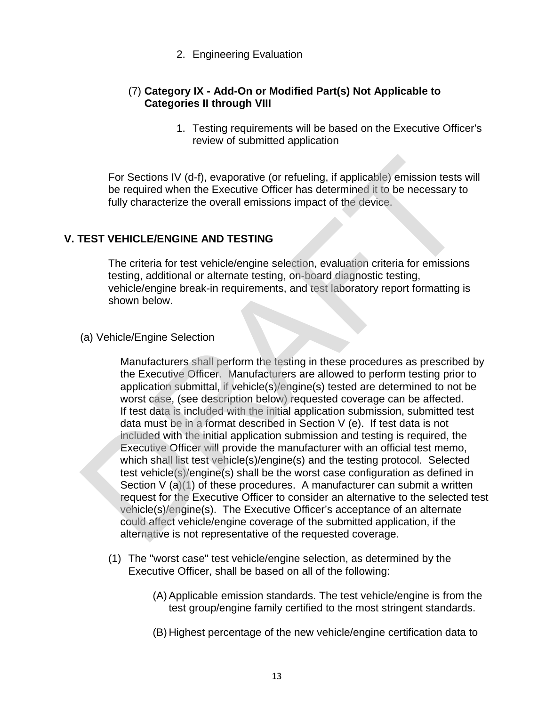### 2. Engineering Evaluation

# (7) **Category IX - Add-On or Modified Part(s) Not Applicable to Categories II through VIII**

1. Testing requirements will be based on the Executive Officer's review of submitted application

For Sections IV (d-f), evaporative (or refueling, if applicable) emission tests will be required when the Executive Officer has determined it to be necessary to fully characterize the overall emissions impact of the device.

# **V. TEST VEHICLE/ENGINE AND TESTING**

The criteria for test vehicle/engine selection, evaluation criteria for emissions testing, additional or alternate testing, on-board diagnostic testing, vehicle/engine break-in requirements, and test laboratory report formatting is shown below.

# (a) Vehicle/Engine Selection

Manufacturers shall perform the testing in these procedures as prescribed by the Executive Officer. Manufacturers are allowed to perform testing prior to application submittal, if vehicle(s)/engine(s) tested are determined to not be worst case, (see description below) requested coverage can be affected. If test data is included with the initial application submission, submitted test data must be in a format described in Section V (e). If test data is not included with the initial application submission and testing is required, the Executive Officer will provide the manufacturer with an official test memo, which shall list test vehicle(s)/engine(s) and the testing protocol. Selected test vehicle(s)/engine(s) shall be the worst case configuration as defined in Section V (a)(1) of these procedures. A manufacturer can submit a written request for the Executive Officer to consider an alternative to the selected test vehicle(s)/engine(s). The Executive Officer's acceptance of an alternate could affect vehicle/engine coverage of the submitted application, if the alternative is not representative of the requested coverage. For Sections IV (d-f), evaporative (or refueling, if applicable) emission tests<br>be required when the Executive Officer has determined it to be necessary to<br>fully characterize the overall emissions impact of the device.<br> **T** 

- (1) The "worst case" test vehicle/engine selection, as determined by the Executive Officer, shall be based on all of the following:
	- (A) Applicable emission standards. The test vehicle/engine is from the test group/engine family certified to the most stringent standards.
	- (B) Highest percentage of the new vehicle/engine certification data to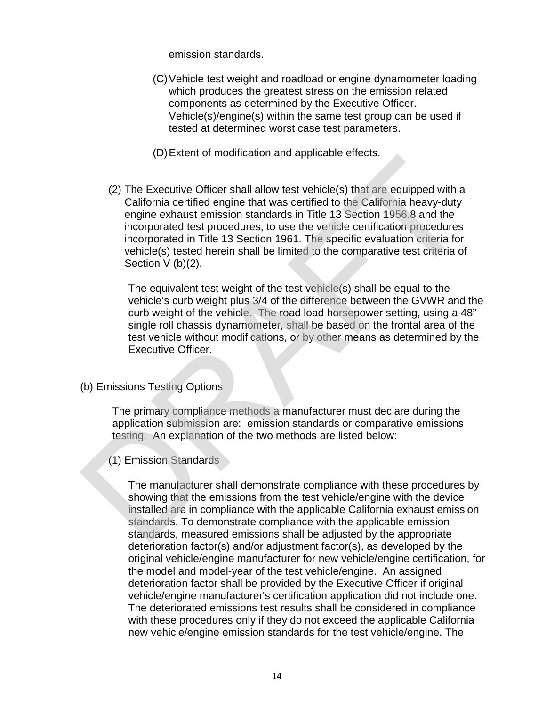emission standards.

- (C)Vehicle test weight and roadload or engine dynamometer loading which produces the greatest stress on the emission related components as determined by the Executive Officer. Vehicle(s)/engine(s) within the same test group can be used if tested at determined worst case test parameters.
- (D)Extent of modification and applicable effects.
- (2) The Executive Officer shall allow test vehicle(s) that are equipped with a California certified engine that was certified to the California heavy-duty engine exhaust emission standards in Title 13 Section 1956.8 and the incorporated test procedures, to use the vehicle certification procedures incorporated in Title 13 Section 1961. The specific evaluation criteria for vehicle(s) tested herein shall be limited to the comparative test criteria of Section  $V$  (b)(2). (2) The Executive Officer shall allow test vehicle(s) that are equipped with a<br>California certified engine that was certified to the California heavy-otty<br>engine exhaust emission standards in Title 13 Section 1956.8 and th

The equivalent test weight of the test vehicle(s) shall be equal to the vehicle's curb weight plus 3/4 of the difference between the GVWR and the curb weight of the vehicle. The road load horsepower setting, using a 48" single roll chassis dynamometer, shall be based on the frontal area of the test vehicle without modifications, or by other means as determined by the Executive Officer.

(b) Emissions Testing Options

The primary compliance methods a manufacturer must declare during the application submission are: emission standards or comparative emissions testing. An explanation of the two methods are listed below:

(1) Emission Standards

The manufacturer shall demonstrate compliance with these procedures by showing that the emissions from the test vehicle/engine with the device installed are in compliance with the applicable California exhaust emission standards. To demonstrate compliance with the applicable emission standards, measured emissions shall be adjusted by the appropriate deterioration factor(s) and/or adjustment factor(s), as developed by the original vehicle/engine manufacturer for new vehicle/engine certification, for the model and model-year of the test vehicle/engine. An assigned deterioration factor shall be provided by the Executive Officer if original vehicle/engine manufacturer's certification application did not include one. The deteriorated emissions test results shall be considered in compliance with these procedures only if they do not exceed the applicable California new vehicle/engine emission standards for the test vehicle/engine. The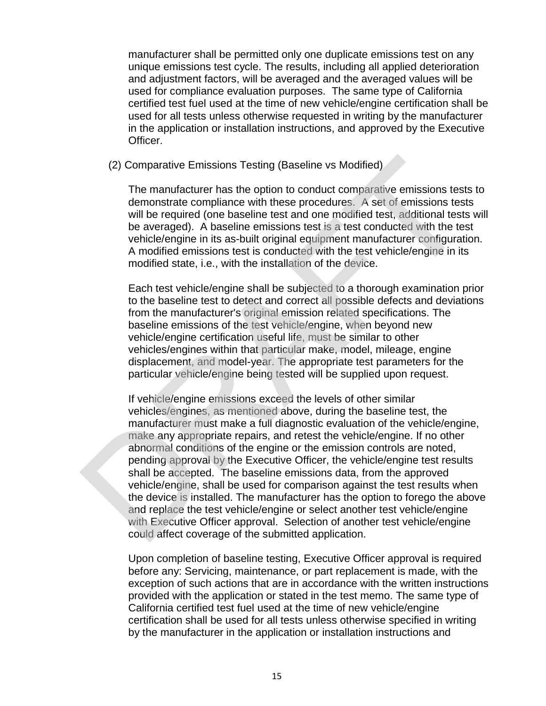manufacturer shall be permitted only one duplicate emissions test on any unique emissions test cycle. The results, including all applied deterioration and adjustment factors, will be averaged and the averaged values will be used for compliance evaluation purposes. The same type of California certified test fuel used at the time of new vehicle/engine certification shall be used for all tests unless otherwise requested in writing by the manufacturer in the application or installation instructions, and approved by the Executive Officer.

#### (2) Comparative Emissions Testing (Baseline vs Modified)

The manufacturer has the option to conduct comparative emissions tests to demonstrate compliance with these procedures. A set of emissions tests will be required (one baseline test and one modified test, additional tests will be averaged). A baseline emissions test is a test conducted with the test vehicle/engine in its as-built original equipment manufacturer configuration. A modified emissions test is conducted with the test vehicle/engine in its modified state, i.e., with the installation of the device.

Each test vehicle/engine shall be subjected to a thorough examination prior to the baseline test to detect and correct all possible defects and deviations from the manufacturer's original emission related specifications. The baseline emissions of the test vehicle/engine, when beyond new vehicle/engine certification useful life, must be similar to other vehicles/engines within that particular make, model, mileage, engine displacement, and model-year. The appropriate test parameters for the particular vehicle/engine being tested will be supplied upon request.

If vehicle/engine emissions exceed the levels of other similar vehicles/engines, as mentioned above, during the baseline test, the manufacturer must make a full diagnostic evaluation of the vehicle/engine, make any appropriate repairs, and retest the vehicle/engine. If no other abnormal conditions of the engine or the emission controls are noted, pending approval by the Executive Officer, the vehicle/engine test results shall be accepted. The baseline emissions data, from the approved vehicle/engine, shall be used for comparison against the test results when the device is installed. The manufacturer has the option to forego the above and replace the test vehicle/engine or select another test vehicle/engine with Executive Officer approval. Selection of another test vehicle/engine could affect coverage of the submitted application. (2) Comparative Emissions Testing (Baseline vs Modified)<br>
The manufacturer has the option to conduct comparative emissions test<br>
will be required (one baseline test and one modified est, additional test<br>
will be required (

> Upon completion of baseline testing, Executive Officer approval is required before any: Servicing, maintenance, or part replacement is made, with the exception of such actions that are in accordance with the written instructions provided with the application or stated in the test memo. The same type of California certified test fuel used at the time of new vehicle/engine certification shall be used for all tests unless otherwise specified in writing by the manufacturer in the application or installation instructions and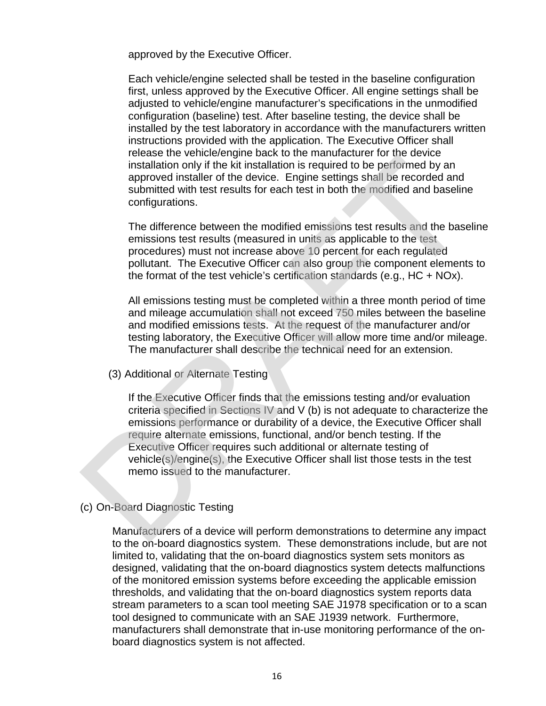approved by the Executive Officer.

Each vehicle/engine selected shall be tested in the baseline configuration first, unless approved by the Executive Officer. All engine settings shall be adjusted to vehicle/engine manufacturer's specifications in the unmodified configuration (baseline) test. After baseline testing, the device shall be installed by the test laboratory in accordance with the manufacturers written instructions provided with the application. The Executive Officer shall release the vehicle/engine back to the manufacturer for the device installation only if the kit installation is required to be performed by an approved installer of the device. Engine settings shall be recorded and submitted with test results for each test in both the modified and baseline configurations.

The difference between the modified emissions test results and the baseline emissions test results (measured in units as applicable to the test procedures) must not increase above 10 percent for each regulated pollutant. The Executive Officer can also group the component elements to the format of the test vehicle's certification standards (e.g., HC + NOx).

All emissions testing must be completed within a three month period of time and mileage accumulation shall not exceed 750 miles between the baseline and modified emissions tests. At the request of the manufacturer and/or testing laboratory, the Executive Officer will allow more time and/or mileage. The manufacturer shall describe the technical need for an extension.

(3) Additional or Alternate Testing

If the Executive Officer finds that the emissions testing and/or evaluation criteria specified in Sections IV and V (b) is not adequate to characterize the emissions performance or durability of a device, the Executive Officer shall require alternate emissions, functional, and/or bench testing. If the Executive Officer requires such additional or alternate testing of vehicle(s)/engine(s), the Executive Officer shall list those tests in the test memo issued to the manufacturer. include the Vindouslavier of the device. Engine set with the mediate that the mediate of the set of the set of the set of the set of the set of the set of the set of the set of the set of the set of the set of the set of t

### (c) On-Board Diagnostic Testing

Manufacturers of a device will perform demonstrations to determine any impact to the on-board diagnostics system. These demonstrations include, but are not limited to, validating that the on-board diagnostics system sets monitors as designed, validating that the on-board diagnostics system detects malfunctions of the monitored emission systems before exceeding the applicable emission thresholds, and validating that the on-board diagnostics system reports data stream parameters to a scan tool meeting SAE J1978 specification or to a scan tool designed to communicate with an SAE J1939 network. Furthermore, manufacturers shall demonstrate that in-use monitoring performance of the onboard diagnostics system is not affected.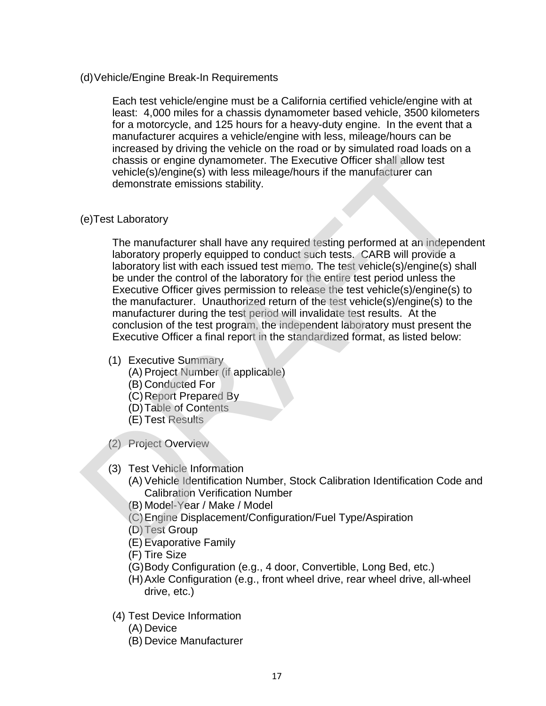(d)Vehicle/Engine Break-In Requirements

Each test vehicle/engine must be a California certified vehicle/engine with at least: 4,000 miles for a chassis dynamometer based vehicle, 3500 kilometers for a motorcycle, and 125 hours for a heavy-duty engine. In the event that a manufacturer acquires a vehicle/engine with less, mileage/hours can be increased by driving the vehicle on the road or by simulated road loads on a chassis or engine dynamometer. The Executive Officer shall allow test vehicle(s)/engine(s) with less mileage/hours if the manufacturer can demonstrate emissions stability.

#### (e)Test Laboratory

The manufacturer shall have any required testing performed at an independent laboratory properly equipped to conduct such tests. CARB will provide a laboratory list with each issued test memo. The test vehicle(s)/engine(s) shall be under the control of the laboratory for the entire test period unless the Executive Officer gives permission to release the test vehicle(s)/engine(s) to the manufacturer. Unauthorized return of the test vehicle(s)/engine(s) to the manufacturer during the test period will invalidate test results. At the conclusion of the test program, the independent laboratory must present the Executive Officer a final report in the standardized format, as listed below: chassis or engine dynamometer. The Executive Officer shall allow test<br>vehicle(s)/engine(s) with less mileage/hours if the manufacturer can<br>demonstrate emissions stability.<br>(e)Test Laboratory<br>The manufacturer shall have any

- (1) Executive Summary
	- (A) Project Number (if applicable)
	- (B) Conducted For
	- (C)Report Prepared By
	- (D)Table of Contents
	- (E) Test Results
- (2) Project Overview
- (3) Test Vehicle Information
	- (A) Vehicle Identification Number, Stock Calibration Identification Code and Calibration Verification Number
	- (B) Model-Year / Make / Model
	- (C)Engine Displacement/Configuration/Fuel Type/Aspiration
	- (D)Test Group
	- (E) Evaporative Family
	- (F) Tire Size
	- (G)Body Configuration (e.g., 4 door, Convertible, Long Bed, etc.)
	- (H)Axle Configuration (e.g., front wheel drive, rear wheel drive, all-wheel drive, etc.)
- (4) Test Device Information
	- (A) Device
	- (B) Device Manufacturer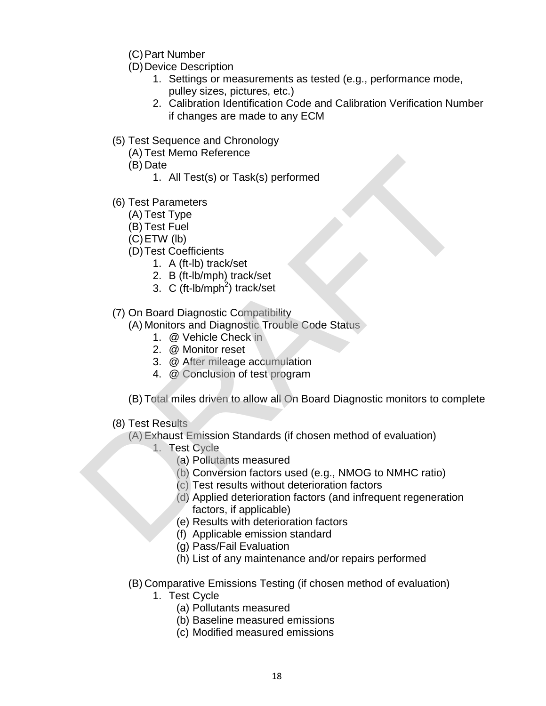- (C)Part Number
- (D) Device Description
	- 1. Settings or measurements as tested (e.g., performance mode, pulley sizes, pictures, etc.)
	- 2. Calibration Identification Code and Calibration Verification Number if changes are made to any ECM
- (5) Test Sequence and Chronology
	- (A) Test Memo Reference
	- (B) Date
		- 1. All Test(s) or Task(s) performed
- (6) Test Parameters
	- (A) Test Type
	- (B) Test Fuel
	- (C)ETW (lb)
	- (D)Test Coefficients
		- 1. A (ft-lb) track/set
		- 2. B (ft-lb/mph) track/set
		- 3. C (ft-lb/mph<sup>2</sup>) track/set
- (7) On Board Diagnostic Compatibility

(A) Monitors and Diagnostic Trouble Code Status

- 1. @ Vehicle Check in
- 2. @ Monitor reset
- 3. @ After mileage accumulation
- 4. @ Conclusion of test program

(B) Total miles driven to allow all On Board Diagnostic monitors to complete

(8) Test Results

(A) Exhaust Emission Standards (if chosen method of evaluation)

- 1. Test Cycle
	- (a) Pollutants measured
	- (b) Conversion factors used (e.g., NMOG to NMHC ratio)
	- (c) Test results without deterioration factors
- (d) Applied deterioration factors (and infrequent regeneration factors, if applicable) (6) Date<br>
(6) Date<br>
1. All Test(s) or Task(s) performed<br>
(6) Test Tarameters<br>
(A) Test Tuel<br>
(C) ETW (b)<br>
(D) Test Coefficients<br>
1. A (ft-lb) track/set<br>
2. B (ft-lb/mph)<sup>4</sup>) track/set<br>
3. Q (ft-lb/mph)<sup>4</sup>) track/set<br>
(7) O
	- (e) Results with deterioration factors
	- (f) Applicable emission standard
	- (g) Pass/Fail Evaluation
	- (h) List of any maintenance and/or repairs performed
	- (B) Comparative Emissions Testing (if chosen method of evaluation)
		- 1. Test Cycle
			- (a) Pollutants measured
			- (b) Baseline measured emissions
			- (c) Modified measured emissions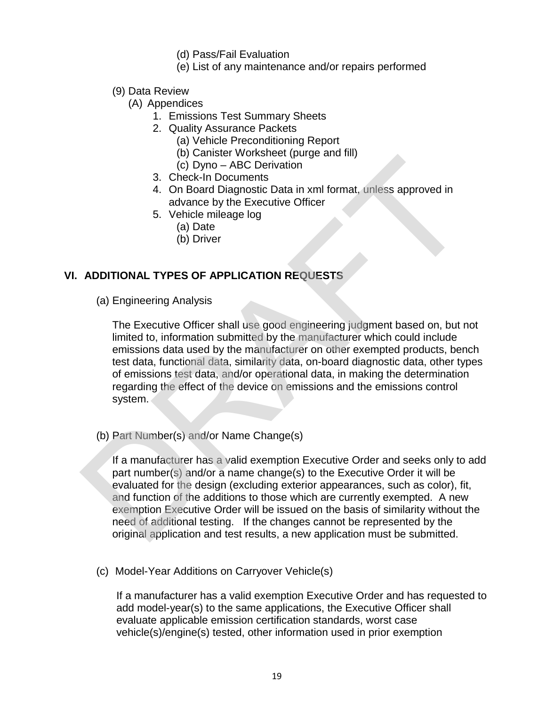- (d) Pass/Fail Evaluation
- (e) List of any maintenance and/or repairs performed
- (9) Data Review
	- (A) Appendices
		- 1. Emissions Test Summary Sheets
		- 2. Quality Assurance Packets
			- (a) Vehicle Preconditioning Report
			- (b) Canister Worksheet (purge and fill)
			- (c) Dyno ABC Derivation
		- 3. Check-In Documents
		- 4. On Board Diagnostic Data in xml format, unless approved in advance by the Executive Officer
		- 5. Vehicle mileage log
			- (a) Date
			- (b) Driver

# **VI. ADDITIONAL TYPES OF APPLICATION REQUESTS**

(a) Engineering Analysis

The Executive Officer shall use good engineering judgment based on, but not limited to, information submitted by the manufacturer which could include emissions data used by the manufacturer on other exempted products, bench test data, functional data, similarity data, on-board diagnostic data, other types of emissions test data, and/or operational data, in making the determination regarding the effect of the device on emissions and the emissions control system. (c) Dyno – ABC Derivation<br>
3. Check-In Documents<br>
4. On Board Diagnostic Data in xml format, unless approved in<br>
4. On Board Diagnostic Data in xml format, unless approved in<br>
4. On Board Diagnostic Data in xml format, unl

(b) Part Number(s) and/or Name Change(s)

If a manufacturer has a valid exemption Executive Order and seeks only to add part number(s) and/or a name change(s) to the Executive Order it will be evaluated for the design (excluding exterior appearances, such as color), fit, and function of the additions to those which are currently exempted. A new exemption Executive Order will be issued on the basis of similarity without the need of additional testing. If the changes cannot be represented by the original application and test results, a new application must be submitted.

(c) Model-Year Additions on Carryover Vehicle(s)

If a manufacturer has a valid exemption Executive Order and has requested to add model-year(s) to the same applications, the Executive Officer shall evaluate applicable emission certification standards, worst case vehicle(s)/engine(s) tested, other information used in prior exemption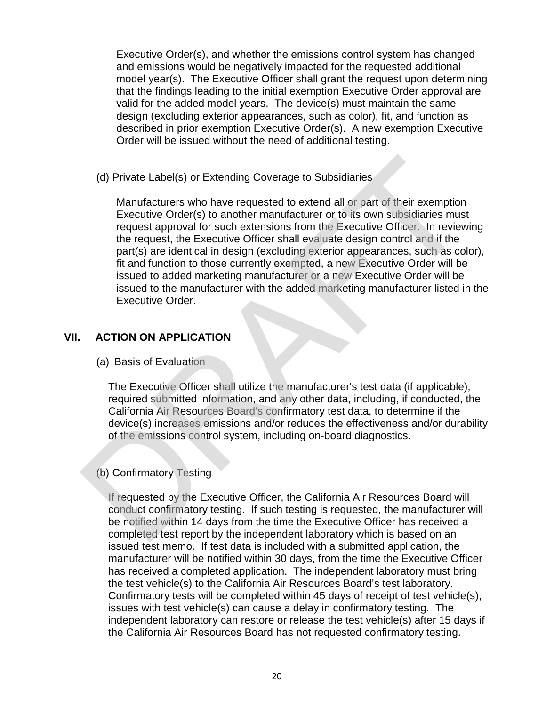Executive Order(s), and whether the emissions control system has changed and emissions would be negatively impacted for the requested additional model year(s). The Executive Officer shall grant the request upon determining that the findings leading to the initial exemption Executive Order approval are valid for the added model years. The device(s) must maintain the same design (excluding exterior appearances, such as color), fit, and function as described in prior exemption Executive Order(s). A new exemption Executive Order will be issued without the need of additional testing.

(d) Private Label(s) or Extending Coverage to Subsidiaries

Manufacturers who have requested to extend all or part of their exemption Executive Order(s) to another manufacturer or to its own subsidiaries must request approval for such extensions from the Executive Officer. In reviewing the request, the Executive Officer shall evaluate design control and if the part(s) are identical in design (excluding exterior appearances, such as color), fit and function to those currently exempted, a new Executive Order will be issued to added marketing manufacturer or a new Executive Order will be issued to the manufacturer with the added marketing manufacturer listed in the Executive Order. (d) Private Label(s) or Extending Coverage to Subsidiaries<br>
Manufacturers who have requested to extend all or part of their exemption<br>
Executive Order(s) to another manufacturer or to its own subsidiaries must<br>
request app

# **VII. ACTION ON APPLICATION**

(a) Basis of Evaluation

The Executive Officer shall utilize the manufacturer's test data (if applicable), required submitted information, and any other data, including, if conducted, the California Air Resources Board's confirmatory test data, to determine if the device(s) increases emissions and/or reduces the effectiveness and/or durability of the emissions control system, including on-board diagnostics.

# (b) Confirmatory Testing

If requested by the Executive Officer, the California Air Resources Board will conduct confirmatory testing. If such testing is requested, the manufacturer will be notified within 14 days from the time the Executive Officer has received a completed test report by the independent laboratory which is based on an issued test memo. If test data is included with a submitted application, the manufacturer will be notified within 30 days, from the time the Executive Officer has received a completed application. The independent laboratory must bring the test vehicle(s) to the California Air Resources Board's test laboratory. Confirmatory tests will be completed within 45 days of receipt of test vehicle(s), issues with test vehicle(s) can cause a delay in confirmatory testing. The independent laboratory can restore or release the test vehicle(s) after 15 days if the California Air Resources Board has not requested confirmatory testing.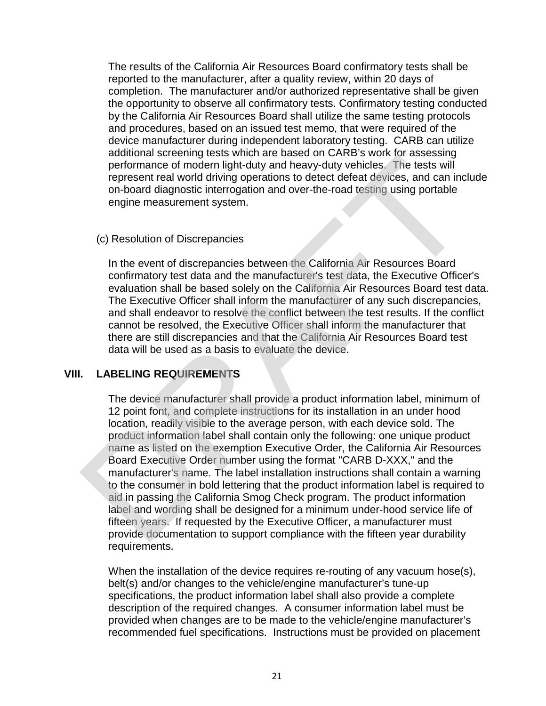The results of the California Air Resources Board confirmatory tests shall be reported to the manufacturer, after a quality review, within 20 days of completion. The manufacturer and/or authorized representative shall be given the opportunity to observe all confirmatory tests. Confirmatory testing conducted by the California Air Resources Board shall utilize the same testing protocols and procedures, based on an issued test memo, that were required of the device manufacturer during independent laboratory testing. CARB can utilize additional screening tests which are based on CARB's work for assessing performance of modern light-duty and heavy-duty vehicles. The tests will represent real world driving operations to detect defeat devices, and can include on-board diagnostic interrogation and over-the-road testing using portable engine measurement system.

#### (c) Resolution of Discrepancies

In the event of discrepancies between the California Air Resources Board confirmatory test data and the manufacturer's test data, the Executive Officer's evaluation shall be based solely on the California Air Resources Board test data. The Executive Officer shall inform the manufacturer of any such discrepancies, and shall endeavor to resolve the conflict between the test results. If the conflict cannot be resolved, the Executive Officer shall inform the manufacturer that there are still discrepancies and that the California Air Resources Board test data will be used as a basis to evaluate the device.

### **VIII. LABELING REQUIREMENTS**

The device manufacturer shall provide a product information label, minimum of 12 point font, and complete instructions for its installation in an under hood location, readily visible to the average person, with each device sold. The product information label shall contain only the following: one unique product name as listed on the exemption Executive Order, the California Air Resources Board Executive Order number using the format "CARB D-XXX," and the manufacturer's name. The label installation instructions shall contain a warning to the consumer in bold lettering that the product information label is required to aid in passing the California Smog Check program. The product information label and wording shall be designed for a minimum under-hood service life of fifteen years. If requested by the Executive Officer, a manufacturer must provide documentation to support compliance with the fifteen year durability requirements. extrained society which are cased on the trace of model of methoman content in the trace of model might-duty and heavy-duty vehicles. The tests will represent real word driving operations to detect defeat devices, and can

When the installation of the device requires re-routing of any vacuum hose(s), belt(s) and/or changes to the vehicle/engine manufacturer's tune-up specifications, the product information label shall also provide a complete description of the required changes. A consumer information label must be provided when changes are to be made to the vehicle/engine manufacturer's recommended fuel specifications. Instructions must be provided on placement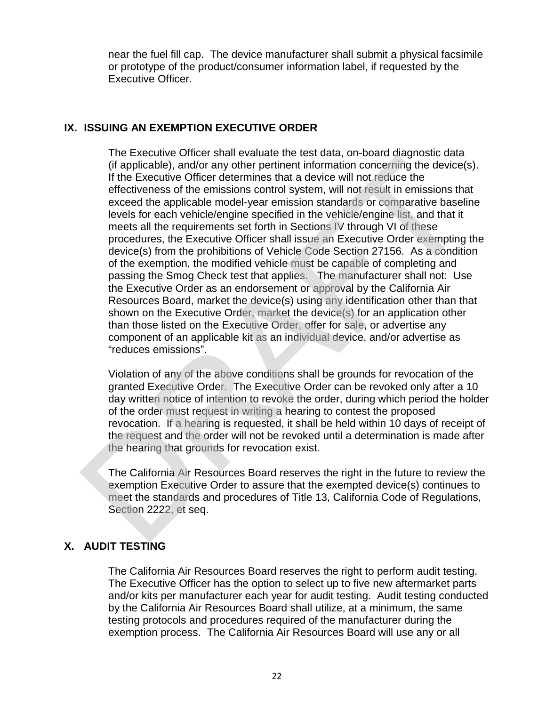near the fuel fill cap. The device manufacturer shall submit a physical facsimile or prototype of the product/consumer information label, if requested by the Executive Officer.

## **IX. ISSUING AN EXEMPTION EXECUTIVE ORDER**

The Executive Officer shall evaluate the test data, on-board diagnostic data (if applicable), and/or any other pertinent information concerning the device(s). If the Executive Officer determines that a device will not reduce the effectiveness of the emissions control system, will not result in emissions that exceed the applicable model-year emission standards or comparative baseline levels for each vehicle/engine specified in the vehicle/engine list, and that it meets all the requirements set forth in Sections IV through VI of these procedures, the Executive Officer shall issue an Executive Order exempting the device(s) from the prohibitions of Vehicle Code Section 27156. As a condition of the exemption, the modified vehicle must be capable of completing and passing the Smog Check test that applies. The manufacturer shall not: Use the Executive Order as an endorsement or approval by the California Air Resources Board, market the device(s) using any identification other than that shown on the Executive Order, market the device(s) for an application other than those listed on the Executive Order, offer for sale, or advertise any component of an applicable kit as an individual device, and/or advertise as "reduces emissions". The Executive Order small valuation to the streame that the transmission that the Recottive Officer determines that a divide unit of tredicted the effectiveness of the emissions cnord system, will not result in emissions t

Violation of any of the above conditions shall be grounds for revocation of the granted Executive Order. The Executive Order can be revoked only after a 10 day written notice of intention to revoke the order, during which period the holder of the order must request in writing a hearing to contest the proposed revocation. If a hearing is requested, it shall be held within 10 days of receipt of the request and the order will not be revoked until a determination is made after the hearing that grounds for revocation exist.

The California Air Resources Board reserves the right in the future to review the exemption Executive Order to assure that the exempted device(s) continues to meet the standards and procedures of Title 13, California Code of Regulations, Section 2222, et seq.

# **X. AUDIT TESTING**

The California Air Resources Board reserves the right to perform audit testing. The Executive Officer has the option to select up to five new aftermarket parts and/or kits per manufacturer each year for audit testing. Audit testing conducted by the California Air Resources Board shall utilize, at a minimum, the same testing protocols and procedures required of the manufacturer during the exemption process. The California Air Resources Board will use any or all